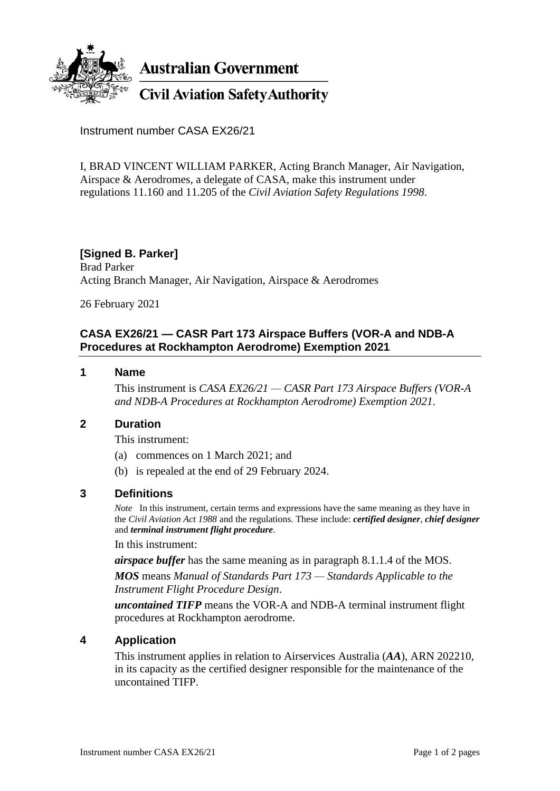

**Australian Government** 

**Civil Aviation Safety Authority** 

Instrument number CASA EX26/21

I, BRAD VINCENT WILLIAM PARKER, Acting Branch Manager, Air Navigation, Airspace & Aerodromes, a delegate of CASA, make this instrument under regulations 11.160 and 11.205 of the *Civil Aviation Safety Regulations 1998*.

# **[Signed B. Parker]**

Brad Parker Acting Branch Manager, Air Navigation, Airspace & Aerodromes

26 February 2021

# **CASA EX26/21 — CASR Part 173 Airspace Buffers (VOR-A and NDB-A Procedures at Rockhampton Aerodrome) Exemption 2021**

#### **1 Name**

This instrument is *CASA EX26/21 — CASR Part 173 Airspace Buffers (VOR-A and NDB-A Procedures at Rockhampton Aerodrome) Exemption 2021*.

### **2 Duration**

This instrument:

- (a) commences on 1 March 2021; and
- (b) is repealed at the end of 29 February 2024.

### **3 Definitions**

*Note* In this instrument, certain terms and expressions have the same meaning as they have in the *Civil Aviation Act 1988* and the regulations. These include: *certified designer*, *chief designer* and *terminal instrument flight procedure*.

In this instrument:

*airspace buffer* has the same meaning as in paragraph 8.1.1.4 of the MOS.

*MOS* means *Manual of Standards Part 173 — Standards Applicable to the Instrument Flight Procedure Design*.

*uncontained TIFP* means the VOR-A and NDB-A terminal instrument flight procedures at Rockhampton aerodrome.

### **4 Application**

This instrument applies in relation to Airservices Australia (*AA*), ARN 202210, in its capacity as the certified designer responsible for the maintenance of the uncontained TIFP.